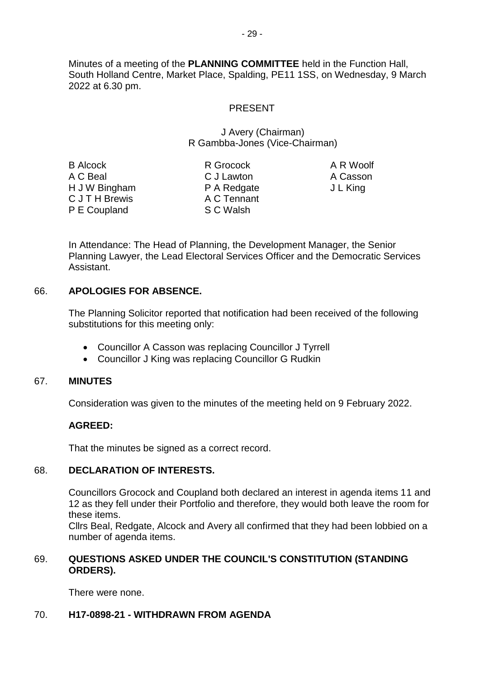Minutes of a meeting of the **PLANNING COMMITTEE** held in the Function Hall, South Holland Centre, Market Place, Spalding, PE11 1SS, on Wednesday, 9 March 2022 at 6.30 pm.

## PRESENT

#### J Avery (Chairman) R Gambba-Jones (Vice-Chairman)

B Alcock A C Beal H J W Bingham C J T H Brewis P E Coupland

R Grocock C J Lawton P A Redgate A C Tennant S C Walsh

A R Woolf A Casson J L King

In Attendance: The Head of Planning, the Development Manager, the Senior Planning Lawyer, the Lead Electoral Services Officer and the Democratic Services Assistant.

## 66. **APOLOGIES FOR ABSENCE.**

The Planning Solicitor reported that notification had been received of the following substitutions for this meeting only:

- Councillor A Casson was replacing Councillor J Tyrrell
- Councillor J King was replacing Councillor G Rudkin

## 67. **MINUTES**

Consideration was given to the minutes of the meeting held on 9 February 2022.

## **AGREED:**

That the minutes be signed as a correct record.

## 68. **DECLARATION OF INTERESTS.**

Councillors Grocock and Coupland both declared an interest in agenda items 11 and 12 as they fell under their Portfolio and therefore, they would both leave the room for these items.

Cllrs Beal, Redgate, Alcock and Avery all confirmed that they had been lobbied on a number of agenda items.

## 69. **QUESTIONS ASKED UNDER THE COUNCIL'S CONSTITUTION (STANDING ORDERS).**

There were none.

## 70. **H17-0898-21 - WITHDRAWN FROM AGENDA**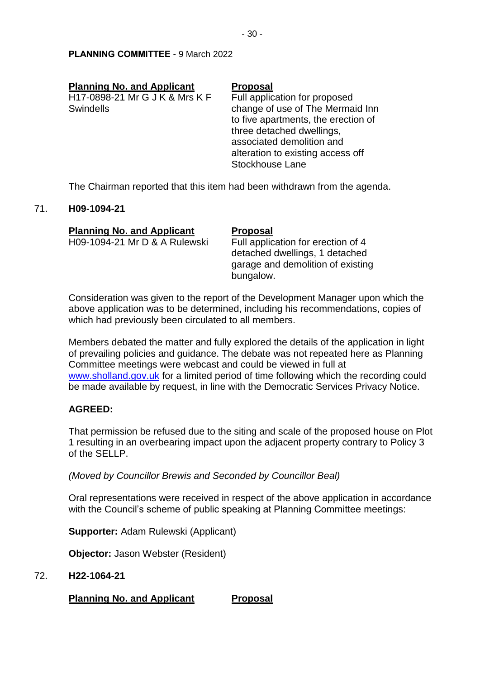| <b>Planning No. and Applicant</b> | <b>Proposal</b>                     |
|-----------------------------------|-------------------------------------|
| H17-0898-21 Mr G J K & Mrs K F    | Full application for proposed       |
| <b>Swindells</b>                  | change of use of The Mermaid Inn    |
|                                   | to five apartments, the erection of |
|                                   | three detached dwellings,           |
|                                   | associated demolition and           |
|                                   | alteration to existing access off   |
|                                   | Stockhouse Lane                     |

The Chairman reported that this item had been withdrawn from the agenda.

#### 71. **H09-1094-21**

| <b>Planning No. and Applicant</b> | <b>Proposal</b>                                                                                                        |
|-----------------------------------|------------------------------------------------------------------------------------------------------------------------|
| H09-1094-21 Mr D & A Rulewski     | Full application for erection of 4<br>detached dwellings, 1 detached<br>garage and demolition of existing<br>bungalow. |

Consideration was given to the report of the Development Manager upon which the above application was to be determined, including his recommendations, copies of which had previously been circulated to all members.

Members debated the matter and fully explored the details of the application in light of prevailing policies and guidance. The debate was not repeated here as Planning Committee meetings were webcast and could be viewed in full at [www.sholland.gov.uk](file://///client/U$/Governance/Planning/9%20March%202022/www.sholland.gov.uk%20) for a limited period of time following which the recording could be made available by request, in line with the Democratic Services Privacy Notice.

## **AGREED:**

That permission be refused due to the siting and scale of the proposed house on Plot 1 resulting in an overbearing impact upon the adjacent property contrary to Policy 3 of the SELLP.

*(Moved by Councillor Brewis and Seconded by Councillor Beal)*

Oral representations were received in respect of the above application in accordance with the Council's scheme of public speaking at Planning Committee meetings:

**Supporter:** Adam Rulewski (Applicant)

**Objector:** Jason Webster (Resident)

#### 72. **H22-1064-21**

**Planning No. and Applicant Proposal**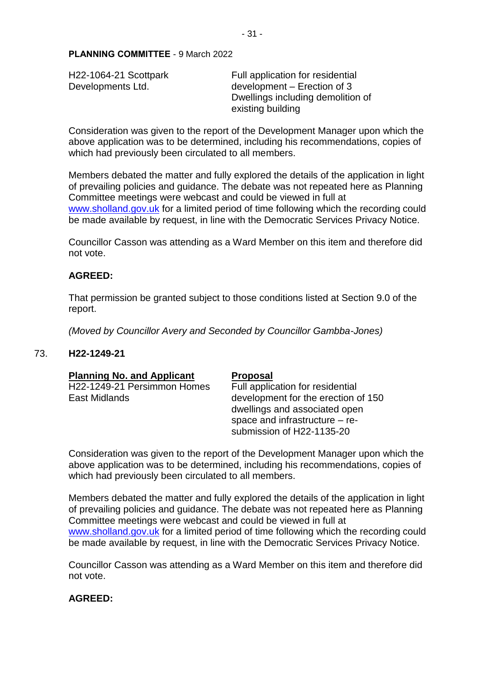H22-1064-21 Scottpark Developments Ltd.

Full application for residential development – Erection of 3 Dwellings including demolition of existing building

Consideration was given to the report of the Development Manager upon which the above application was to be determined, including his recommendations, copies of which had previously been circulated to all members.

Members debated the matter and fully explored the details of the application in light of prevailing policies and guidance. The debate was not repeated here as Planning Committee meetings were webcast and could be viewed in full at [www.sholland.gov.uk](file://///client/U$/Governance/Planning/9%20March%202022/www.sholland.gov.uk%20) for a limited period of time following which the recording could be made available by request, in line with the Democratic Services Privacy Notice.

Councillor Casson was attending as a Ward Member on this item and therefore did not vote.

#### **AGREED:**

That permission be granted subject to those conditions listed at Section 9.0 of the report.

*(Moved by Councillor Avery and Seconded by Councillor Gambba-Jones)*

#### 73. **H22-1249-21**

| <b>Planning No. and Applicant</b> | <b>Proposal</b>                     |
|-----------------------------------|-------------------------------------|
| H22-1249-21 Persimmon Homes       | Full application for residential    |
| East Midlands                     | development for the erection of 150 |
|                                   | dwellings and associated open       |
|                                   | space and infrastructure $-$ re-    |
|                                   | submission of H22-1135-20           |

Consideration was given to the report of the Development Manager upon which the above application was to be determined, including his recommendations, copies of which had previously been circulated to all members.

Members debated the matter and fully explored the details of the application in light of prevailing policies and guidance. The debate was not repeated here as Planning Committee meetings were webcast and could be viewed in full at [www.sholland.gov.uk](file://///client/U$/Governance/Planning/9%20March%202022/www.sholland.gov.uk%20) for a limited period of time following which the recording could be made available by request, in line with the Democratic Services Privacy Notice.

Councillor Casson was attending as a Ward Member on this item and therefore did not vote.

#### **AGREED:**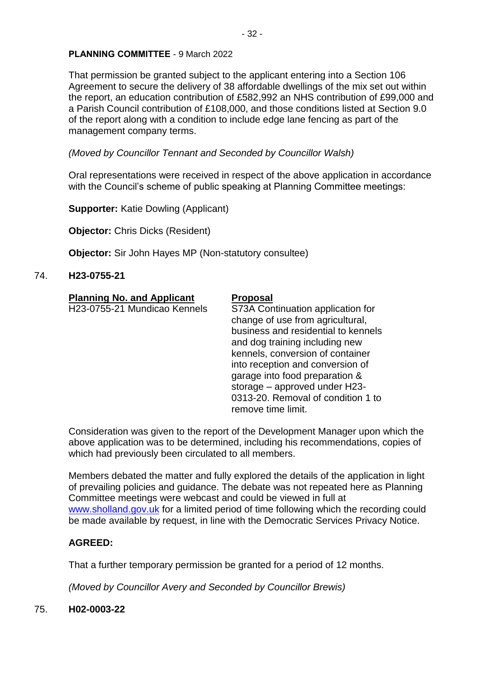That permission be granted subject to the applicant entering into a Section 106 Agreement to secure the delivery of 38 affordable dwellings of the mix set out within the report, an education contribution of £582,992 an NHS contribution of £99,000 and a Parish Council contribution of £108,000, and those conditions listed at Section 9.0 of the report along with a condition to include edge lane fencing as part of the management company terms.

*(Moved by Councillor Tennant and Seconded by Councillor Walsh)*

Oral representations were received in respect of the above application in accordance with the Council's scheme of public speaking at Planning Committee meetings:

**Supporter:** Katie Dowling (Applicant)

**Objector:** Chris Dicks (Resident)

**Objector:** Sir John Hayes MP (Non-statutory consultee)

## 74. **H23-0755-21**

| <b>Planning No. and Applicant</b> | <b>Proposal</b>                                                                                                                                                                                                                                                                                                                                       |
|-----------------------------------|-------------------------------------------------------------------------------------------------------------------------------------------------------------------------------------------------------------------------------------------------------------------------------------------------------------------------------------------------------|
| H23-0755-21 Mundicao Kennels      | S73A Continuation application for<br>change of use from agricultural,<br>business and residential to kennels<br>and dog training including new<br>kennels, conversion of container<br>into reception and conversion of<br>garage into food preparation &<br>storage - approved under H23-<br>0313-20. Removal of condition 1 to<br>remove time limit. |
|                                   |                                                                                                                                                                                                                                                                                                                                                       |

Consideration was given to the report of the Development Manager upon which the above application was to be determined, including his recommendations, copies of which had previously been circulated to all members.

Members debated the matter and fully explored the details of the application in light of prevailing policies and guidance. The debate was not repeated here as Planning Committee meetings were webcast and could be viewed in full at [www.sholland.gov.uk](file://///client/U$/Governance/Planning/9%20March%202022/www.sholland.gov.uk%20) for a limited period of time following which the recording could be made available by request, in line with the Democratic Services Privacy Notice.

## **AGREED:**

That a further temporary permission be granted for a period of 12 months.

*(Moved by Councillor Avery and Seconded by Councillor Brewis)*

## 75. **H02-0003-22**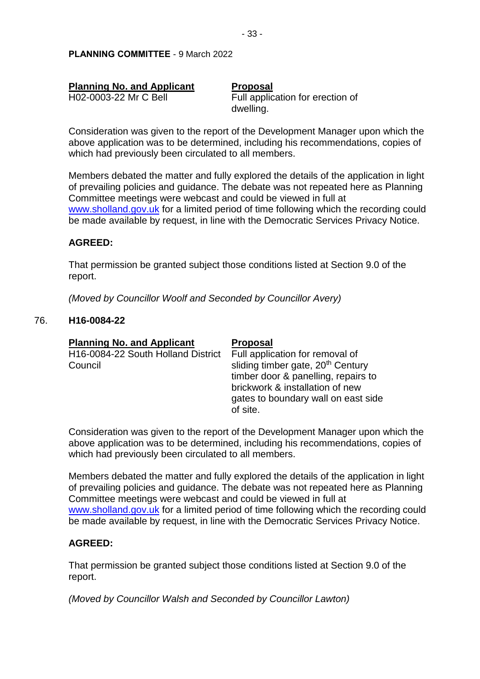| <b>Planning No. and Applicant</b> | <b>Proposal</b>                  |
|-----------------------------------|----------------------------------|
| H02-0003-22 Mr C Bell             | Full application for erection of |
|                                   | dwelling.                        |

Consideration was given to the report of the Development Manager upon which the above application was to be determined, including his recommendations, copies of which had previously been circulated to all members.

Members debated the matter and fully explored the details of the application in light of prevailing policies and guidance. The debate was not repeated here as Planning Committee meetings were webcast and could be viewed in full at [www.sholland.gov.uk](file://///client/U$/Governance/Planning/9%20March%202022/www.sholland.gov.uk%20) for a limited period of time following which the recording could be made available by request, in line with the Democratic Services Privacy Notice.

#### **AGREED:**

That permission be granted subject those conditions listed at Section 9.0 of the report.

*(Moved by Councillor Woolf and Seconded by Councillor Avery)*

#### 76. **H16-0084-22**

| <b>Planning No. and Applicant</b>                          | <b>Proposal</b>                                                                                                                                                                                               |
|------------------------------------------------------------|---------------------------------------------------------------------------------------------------------------------------------------------------------------------------------------------------------------|
| H <sub>16</sub> -0084-22 South Holland District<br>Council | Full application for removal of<br>sliding timber gate, 20 <sup>th</sup> Century<br>timber door & panelling, repairs to<br>brickwork & installation of new<br>gates to boundary wall on east side<br>of site. |

Consideration was given to the report of the Development Manager upon which the above application was to be determined, including his recommendations, copies of which had previously been circulated to all members.

Members debated the matter and fully explored the details of the application in light of prevailing policies and guidance. The debate was not repeated here as Planning Committee meetings were webcast and could be viewed in full at [www.sholland.gov.uk](file://///client/U$/Governance/Planning/9%20March%202022/www.sholland.gov.uk%20) for a limited period of time following which the recording could be made available by request, in line with the Democratic Services Privacy Notice.

## **AGREED:**

That permission be granted subject those conditions listed at Section 9.0 of the report.

*(Moved by Councillor Walsh and Seconded by Councillor Lawton)*